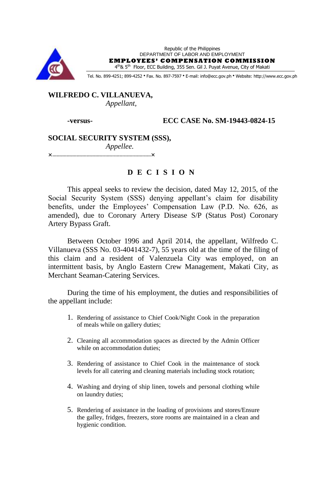

Republic of the Philippines DEPARTMENT OF LABOR AND EMPLOYMENT **EMPLOYEES' COMPENSATION COMMISSION**

4<sup>th</sup>& 5<sup>th</sup> Floor, ECC Building, 355 Sen. Gil J. Puyat Avenue, City of Makati

Tel. No. 899-4251; 899-4252 · Fax. No. 897-7597 · E-mail: info@ecc.gov.ph · Website: http://www.ecc.gov.ph

**WILFREDO C. VILLANUEVA,** *Appellant,*

**-versus- ECC CASE No. SM-19443-0824-15**

**SOCIAL SECURITY SYSTEM (SSS),** *Appellee.*

**××**

# **D E C I S I O N**

This appeal seeks to review the decision, dated May 12, 2015, of the Social Security System (SSS) denying appellant's claim for disability benefits, under the Employees' Compensation Law (P.D. No. 626, as amended), due to Coronary Artery Disease S/P (Status Post) Coronary Artery Bypass Graft.

Between October 1996 and April 2014, the appellant, Wilfredo C. Villanueva (SSS No. 03-4041432-7), 55 years old at the time of the filing of this claim and a resident of Valenzuela City was employed, on an intermittent basis, by Anglo Eastern Crew Management, Makati City, as Merchant Seaman-Catering Services.

During the time of his employment, the duties and responsibilities of the appellant include:

- 1. Rendering of assistance to Chief Cook/Night Cook in the preparation of meals while on gallery duties;
- 2. Cleaning all accommodation spaces as directed by the Admin Officer while on accommodation duties;
- 3. Rendering of assistance to Chief Cook in the maintenance of stock levels for all catering and cleaning materials including stock rotation;
- 4. Washing and drying of ship linen, towels and personal clothing while on laundry duties;
- 5. Rendering of assistance in the loading of provisions and stores/Ensure the galley, fridges, freezers, store rooms are maintained in a clean and hygienic condition.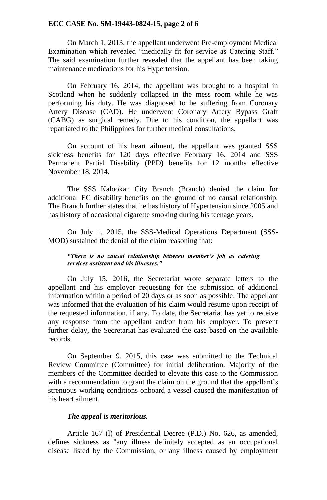## **ECC CASE No. SM-19443-0824-15, page 2 of 6**

On March 1, 2013, the appellant underwent Pre-employment Medical Examination which revealed "medically fit for service as Catering Staff." The said examination further revealed that the appellant has been taking maintenance medications for his Hypertension.

On February 16, 2014, the appellant was brought to a hospital in Scotland when he suddenly collapsed in the mess room while he was performing his duty. He was diagnosed to be suffering from Coronary Artery Disease (CAD). He underwent Coronary Artery Bypass Graft (CABG) as surgical remedy. Due to his condition, the appellant was repatriated to the Philippines for further medical consultations.

On account of his heart ailment, the appellant was granted SSS sickness benefits for 120 days effective February 16, 2014 and SSS Permanent Partial Disability (PPD) benefits for 12 months effective November 18, 2014.

The SSS Kalookan City Branch (Branch) denied the claim for additional EC disability benefits on the ground of no causal relationship. The Branch further states that he has history of Hypertension since 2005 and has history of occasional cigarette smoking during his teenage years.

On July 1, 2015, the SSS-Medical Operations Department (SSS-MOD) sustained the denial of the claim reasoning that:

## *"There is no causal relationship between member's job as catering services assistant and his illnesses."*

On July 15, 2016, the Secretariat wrote separate letters to the appellant and his employer requesting for the submission of additional information within a period of 20 days or as soon as possible. The appellant was informed that the evaluation of his claim would resume upon receipt of the requested information, if any. To date, the Secretariat has yet to receive any response from the appellant and/or from his employer. To prevent further delay, the Secretariat has evaluated the case based on the available records.

On September 9, 2015, this case was submitted to the Technical Review Committee (Committee) for initial deliberation. Majority of the members of the Committee decided to elevate this case to the Commission with a recommendation to grant the claim on the ground that the appellant's strenuous working conditions onboard a vessel caused the manifestation of his heart ailment.

# *The appeal is meritorious.*

Article 167 (l) of Presidential Decree (P.D.) No. 626, as amended, defines sickness as "any illness definitely accepted as an occupational disease listed by the Commission, or any illness caused by employment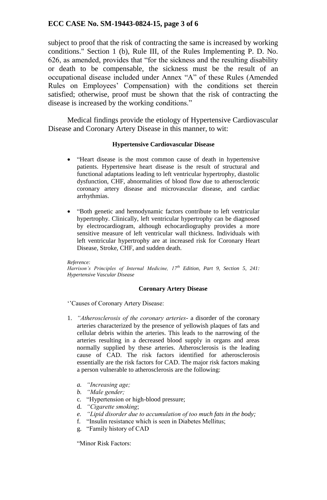# **ECC CASE No. SM-19443-0824-15, page 3 of 6**

subject to proof that the risk of contracting the same is increased by working conditions." Section 1 (b), Rule III, of the Rules Implementing P. D. No. 626, as amended, provides that "for the sickness and the resulting disability or death to be compensable, the sickness must be the result of an occupational disease included under Annex "A" of these Rules (Amended Rules on Employees" Compensation) with the conditions set therein satisfied; otherwise, proof must be shown that the risk of contracting the disease is increased by the working conditions."

Medical findings provide the etiology of Hypertensive Cardiovascular Disease and Coronary Artery Disease in this manner, to wit:

### **Hypertensive Cardiovascular Disease**

- "Heart disease is the most common cause of death in hypertensive patients. Hypertensive heart disease is the result of structural and functional adaptations leading to left ventricular hypertrophy, diastolic dysfunction, CHF, abnormalities of blood flow due to atherosclerotic coronary artery disease and microvascular disease, and cardiac arrhythmias.
- "Both genetic and hemodynamic factors contribute to left ventricular hypertrophy. Clinically, left ventricular hypertrophy can be diagnosed by electrocardiogram, although echocardiography provides a more sensitive measure of left ventricular wall thickness. Individuals with left ventricular hypertrophy are at increased risk for Coronary Heart Disease, Stroke, CHF, and sudden death.

#### *Reference:*

*Harrison's Principles of Internal Medicine, 17th Edition, Part 9, Section 5, 241: Hypertensive Vascular Disease*

### **Coronary Artery Disease**

"Causes of Coronary Artery Disease:

- 1. *"Atherosclerosis of the coronary arteries* a disorder of the coronary arteries characterized by the presence of yellowish plaques of fats and cellular debris within the arteries. This leads to the narrowing of the arteries resulting in a decreased blood supply in organs and areas normally supplied by these arteries. Atherosclerosis is the leading cause of CAD. The risk factors identified for atherosclerosis essentially are the risk factors for CAD. The major risk factors making a person vulnerable to atherosclerosis are the following:
	- *a. "Increasing age;*
	- *b. "Male gender;*
	- c. "Hypertension or high-blood pressure;
	- d. *"Cigarette smoking*;
	- *e. "Lipid disorder due to accumulation of too much fats in the body;*
	- f. "Insulin resistance which is seen in Diabetes Mellitus;
	- g. "Family history of CAD

"Minor Risk Factors: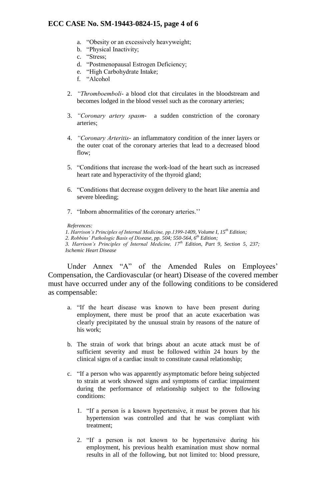# **ECC CASE No. SM-19443-0824-15, page 4 of 6**

- a. "Obesity or an excessively heavyweight;
- b. "Physical Inactivity;
- c. "Stress;
- d. "Postmenopausal Estrogen Deficiency;
- e. "High Carbohydrate Intake;
- f. "Alcohol
- 2. *"Thromboemboli-* a blood clot that circulates in the bloodstream and becomes lodged in the blood vessel such as the coronary arteries;
- 3. *"Coronary artery spasm-* a sudden constriction of the coronary arteries;
- 4. *"Coronary Arteritis-* an inflammatory condition of the inner layers or the outer coat of the coronary arteries that lead to a decreased blood flow;
- 5. "Conditions that increase the work-load of the heart such as increased heart rate and hyperactivity of the thyroid gland;
- 6. "Conditions that decrease oxygen delivery to the heart like anemia and severe bleeding;
- 7. "Inborn abnormalities of the coronary arteries.""

#### *References:*

*1. Harrison's Principles of Internal Medicine, pp.1399-1409, Volume I, 15th Edition; 2. Robbins' Pathologic Basis of Disease, pp. 504; 550-564, 6th Edition; 3. Harrison's Principles of Internal Medicine, 17th Edition, Part 9, Section 5, 237; Ischemic Heart Disease*

Under Annex "A" of the Amended Rules on Employees' Compensation, the Cardiovascular (or heart) Disease of the covered member must have occurred under any of the following conditions to be considered as compensable:

- a. "If the heart disease was known to have been present during employment, there must be proof that an acute exacerbation was clearly precipitated by the unusual strain by reasons of the nature of his work;
- b. The strain of work that brings about an acute attack must be of sufficient severity and must be followed within 24 hours by the clinical signs of a cardiac insult to constitute causal relationship;
- c. "If a person who was apparently asymptomatic before being subjected to strain at work showed signs and symptoms of cardiac impairment during the performance of relationship subject to the following conditions:
	- 1. "If a person is a known hypertensive, it must be proven that his hypertension was controlled and that he was compliant with treatment;
	- 2. "If a person is not known to be hypertensive during his employment, his previous health examination must show normal results in all of the following, but not limited to: blood pressure,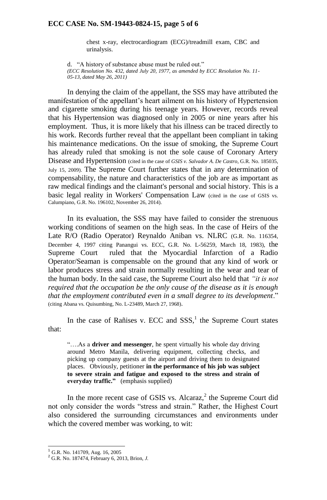#### **ECC CASE No. SM-19443-0824-15, page 5 of 6**

chest x-ray, electrocardiogram (ECG)/treadmill exam, CBC and urinalysis.

d. "A history of substance abuse must be ruled out." *(ECC Resolution No. 432, dated July 20, 1977, as amended by ECC Resolution No. 11- 05-13, dated May 26, 2011)*

In denying the claim of the appellant, the SSS may have attributed the manifestation of the appellant's heart ailment on his history of Hypertension and cigarette smoking during his teenage years. However, records reveal that his Hypertension was diagnosed only in 2005 or nine years after his employment. Thus, it is more likely that his illness can be traced directly to his work. Records further reveal that the appellant been compliant in taking his maintenance medications. On the issue of smoking, the Supreme Court has already ruled that smoking is not the sole cause of Coronary Artery Disease and Hypertension (cited in the case of *GSIS v. Salvador A. De Castro*, G.R. No. 185035, July 15, 2009). The Supreme Court further states that in any determination of compensability, the nature and characteristics of the job are as important as raw medical findings and the claimant's personal and social history. This is a basic legal reality in Workers' Compensation Law (cited in the case of GSIS vs. Calumpiano, G.R. No. 196102, November 26, 2014).

In its evaluation, the SSS may have failed to consider the strenuous working conditions of seamen on the high seas. In the case of Heirs of the Late R/O (Radio Operator) Reynaldo Aniban vs. NLRC (G.R. No. 116354, December 4, 1997 citing Panangui vs. ECC, G.R. No. L-56259, March 18, 1983), the Supreme Court ruled that the Myocardial Infarction of a Radio Operator/Seaman is compensable on the ground that any kind of work or labor produces stress and strain normally resulting in the wear and tear of the human body. In the said case, the Supreme Court also held that *"it is not required that the occupation be the only cause of the disease as it is enough that the employment contributed even in a small degree to its development*." (citing Abana vs. Quisumbing, No. L-23489, March 27, 1968).

In the case of Rañises v. ECC and  $SSS$ ,<sup>1</sup> the Supreme Court states that:

"….As a **driver and messenger**, he spent virtually his whole day driving around Metro Manila, delivering equipment, collecting checks, and picking up company guests at the airport and driving them to designated places. Obviously, petitioner **in the performance of his job was subject to severe strain and fatigue and exposed to the stress and strain of everyday traffic."** (emphasis supplied)

In the more recent case of GSIS vs. Alcaraz, $2$  the Supreme Court did not only consider the words "stress and strain." Rather, the Highest Court also considered the surrounding circumstances and environments under which the covered member was working, to wit:

1

 $<sup>1</sup>$  G.R. No. 141709, Aug. 16, 2005</sup>

<sup>2</sup> G.R. No. 187474, February 6, 2013, Brion, *J.*